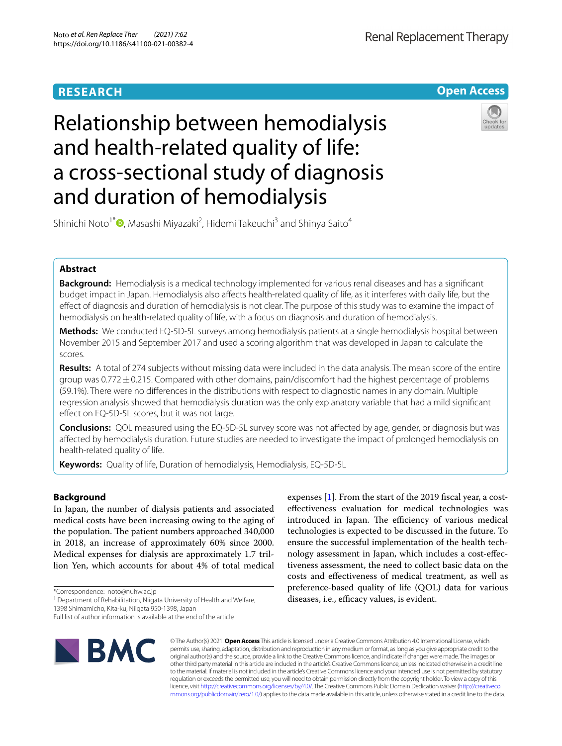# **RESEARCH**

**Open Access**

# Relationship between hemodialysis and health-related quality of life: a cross-sectional study of diagnosis and duration of hemodialysis



Shinichi Noto<sup>1\*</sup><sup>®</sup>[,](http://orcid.org/0000-0002-6952-7770) Masashi Miyazaki<sup>2</sup>, Hidemi Takeuchi<sup>3</sup> and Shinya Saito<sup>4</sup>

# **Abstract**

**Background:** Hemodialysis is a medical technology implemented for various renal diseases and has a signifcant budget impact in Japan. Hemodialysis also afects health-related quality of life, as it interferes with daily life, but the efect of diagnosis and duration of hemodialysis is not clear. The purpose of this study was to examine the impact of hemodialysis on health-related quality of life, with a focus on diagnosis and duration of hemodialysis.

**Methods:** We conducted EQ-5D-5L surveys among hemodialysis patients at a single hemodialysis hospital between November 2015 and September 2017 and used a scoring algorithm that was developed in Japan to calculate the scores.

**Results:** A total of 274 subjects without missing data were included in the data analysis. The mean score of the entire group was 0.772±0.215. Compared with other domains, pain/discomfort had the highest percentage of problems (59.1%). There were no diferences in the distributions with respect to diagnostic names in any domain. Multiple regression analysis showed that hemodialysis duration was the only explanatory variable that had a mild signifcant effect on EQ-5D-5L scores, but it was not large.

**Conclusions:** QOL measured using the EQ-5D-5L survey score was not afected by age, gender, or diagnosis but was afected by hemodialysis duration. Future studies are needed to investigate the impact of prolonged hemodialysis on health-related quality of life.

**Keywords:** Quality of life, Duration of hemodialysis, Hemodialysis, EQ-5D-5L

# **Background**

In Japan, the number of dialysis patients and associated medical costs have been increasing owing to the aging of the population. The patient numbers approached 340,000 in 2018, an increase of approximately 60% since 2000. Medical expenses for dialysis are approximately 1.7 trillion Yen, which accounts for about 4% of total medical

1398 Shimamicho, Kita-ku, Niigata 950-1398, Japan

**BMC** 

expenses [[1\]](#page-6-0). From the start of the 2019 fscal year, a costefectiveness evaluation for medical technologies was introduced in Japan. The efficiency of various medical technologies is expected to be discussed in the future. To ensure the successful implementation of the health technology assessment in Japan, which includes a cost-efectiveness assessment, the need to collect basic data on the costs and efectiveness of medical treatment, as well as preference-based quality of life (QOL) data for various diseases, i.e., efficacy values, is evident.

© The Author(s) 2021. **Open Access** This article is licensed under a Creative Commons Attribution 4.0 International License, which permits use, sharing, adaptation, distribution and reproduction in any medium or format, as long as you give appropriate credit to the original author(s) and the source, provide a link to the Creative Commons licence, and indicate if changes were made. The images or other third party material in this article are included in the article's Creative Commons licence, unless indicated otherwise in a credit line to the material. If material is not included in the article's Creative Commons licence and your intended use is not permitted by statutory regulation or exceeds the permitted use, you will need to obtain permission directly from the copyright holder. To view a copy of this licence, visit [http://creativecommons.org/licenses/by/4.0/.](http://creativecommons.org/licenses/by/4.0/) The Creative Commons Public Domain Dedication waiver ([http://creativeco](http://creativecommons.org/publicdomain/zero/1.0/) [mmons.org/publicdomain/zero/1.0/](http://creativecommons.org/publicdomain/zero/1.0/)) applies to the data made available in this article, unless otherwise stated in a credit line to the data.

<sup>\*</sup>Correspondence: noto@nuhw.ac.jp

<sup>&</sup>lt;sup>1</sup> Department of Rehabilitation, Niigata University of Health and Welfare,

Full list of author information is available at the end of the article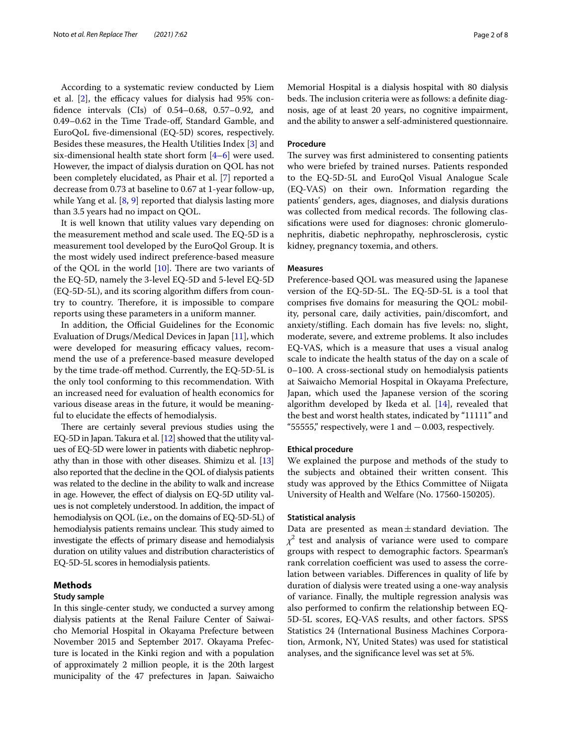According to a systematic review conducted by Liem et al.  $[2]$  $[2]$ , the efficacy values for dialysis had 95% confdence intervals (CIs) of 0.54–0.68, 0.57–0.92, and 0.49–0.62 in the Time Trade-of, Standard Gamble, and EuroQoL fve-dimensional (EQ-5D) scores, respectively. Besides these measures, the Health Utilities Index [[3\]](#page-6-2) and six-dimensional health state short form [\[4](#page-7-0)–[6\]](#page-7-1) were used. However, the impact of dialysis duration on QOL has not been completely elucidated, as Phair et al. [\[7](#page-7-2)] reported a decrease from 0.73 at baseline to 0.67 at 1-year follow-up, while Yang et al. [\[8](#page-7-3), [9](#page-7-4)] reported that dialysis lasting more than 3.5 years had no impact on QOL.

It is well known that utility values vary depending on the measurement method and scale used. The EQ-5D is a measurement tool developed by the EuroQol Group. It is the most widely used indirect preference-based measure of the QOL in the world  $[10]$  $[10]$  $[10]$ . There are two variants of the EQ-5D, namely the 3-level EQ-5D and 5-level EQ-5D (EQ-5D-5L), and its scoring algorithm difers from country to country. Therefore, it is impossible to compare reports using these parameters in a uniform manner.

In addition, the Official Guidelines for the Economic Evaluation of Drugs/Medical Devices in Japan [\[11](#page-7-6)], which were developed for measuring efficacy values, recommend the use of a preference-based measure developed by the time trade-off method. Currently, the EQ-5D-5L is the only tool conforming to this recommendation. With an increased need for evaluation of health economics for various disease areas in the future, it would be meaningful to elucidate the efects of hemodialysis.

There are certainly several previous studies using the EQ-5D in Japan. Takura et al. [[12](#page-7-7)] showed that the utility values of EQ-5D were lower in patients with diabetic nephropathy than in those with other diseases. Shimizu et al. [\[13](#page-7-8)] also reported that the decline in the QOL of dialysis patients was related to the decline in the ability to walk and increase in age. However, the effect of dialysis on EQ-5D utility values is not completely understood. In addition, the impact of hemodialysis on QOL (i.e., on the domains of EQ-5D-5L) of hemodialysis patients remains unclear. This study aimed to investigate the efects of primary disease and hemodialysis duration on utility values and distribution characteristics of EQ-5D-5L scores in hemodialysis patients.

## **Methods**

#### **Study sample**

In this single-center study, we conducted a survey among dialysis patients at the Renal Failure Center of Saiwaicho Memorial Hospital in Okayama Prefecture between November 2015 and September 2017. Okayama Prefecture is located in the Kinki region and with a population of approximately 2 million people, it is the 20th largest municipality of the 47 prefectures in Japan. Saiwaicho Memorial Hospital is a dialysis hospital with 80 dialysis beds. The inclusion criteria were as follows: a definite diagnosis, age of at least 20 years, no cognitive impairment, and the ability to answer a self-administered questionnaire.

#### **Procedure**

The survey was first administered to consenting patients who were briefed by trained nurses. Patients responded to the EQ-5D-5L and EuroQol Visual Analogue Scale (EQ-VAS) on their own. Information regarding the patients' genders, ages, diagnoses, and dialysis durations was collected from medical records. The following classifcations were used for diagnoses: chronic glomerulonephritis, diabetic nephropathy, nephrosclerosis, cystic kidney, pregnancy toxemia, and others.

#### **Measures**

Preference-based QOL was measured using the Japanese version of the EQ-5D-5L. The EQ-5D-5L is a tool that comprises fve domains for measuring the QOL: mobility, personal care, daily activities, pain/discomfort, and anxiety/stifing. Each domain has fve levels: no, slight, moderate, severe, and extreme problems. It also includes EQ-VAS, which is a measure that uses a visual analog scale to indicate the health status of the day on a scale of 0–100. A cross-sectional study on hemodialysis patients at Saiwaicho Memorial Hospital in Okayama Prefecture, Japan, which used the Japanese version of the scoring algorithm developed by Ikeda et al. [\[14](#page-7-9)], revealed that the best and worst health states, indicated by "11111" and "55555," respectively, were 1 and  $-0.003$ , respectively.

#### **Ethical procedure**

We explained the purpose and methods of the study to the subjects and obtained their written consent. This study was approved by the Ethics Committee of Niigata University of Health and Welfare (No. 17560-150205).

#### **Statistical analysis**

Data are presented as mean $\pm$ standard deviation. The *χ*2 test and analysis of variance were used to compare groups with respect to demographic factors. Spearman's rank correlation coefficient was used to assess the correlation between variables. Diferences in quality of life by duration of dialysis were treated using a one-way analysis of variance. Finally, the multiple regression analysis was also performed to confrm the relationship between EQ-5D-5L scores, EQ-VAS results, and other factors. SPSS Statistics 24 (International Business Machines Corporation, Armonk, NY, United States) was used for statistical analyses, and the signifcance level was set at 5%.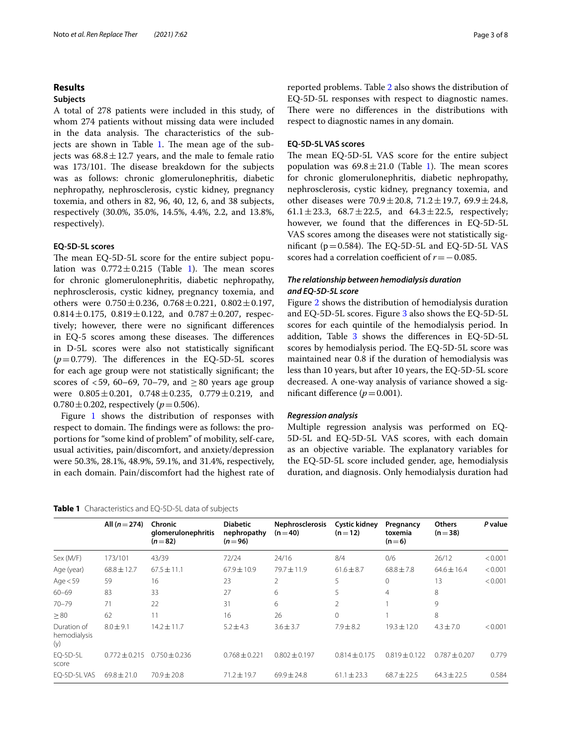## **Results**

#### **Subjects**

A total of 278 patients were included in this study, of whom 274 patients without missing data were included in the data analysis. The characteristics of the subjects are shown in Table  $1$ . The mean age of the subjects was  $68.8 \pm 12.7$  years, and the male to female ratio was 173/101. The disease breakdown for the subjects was as follows: chronic glomerulonephritis, diabetic nephropathy, nephrosclerosis, cystic kidney, pregnancy toxemia, and others in 82, 96, 40, 12, 6, and 38 subjects, respectively (30.0%, 35.0%, 14.5%, 4.4%, 2.2, and 13.8%, respectively).

## **EQ‑5D‑5L scores**

The mean EQ-5D-5L score for the entire subject population was  $0.772 \pm 0.215$  (Table [1\)](#page-2-0). The mean scores for chronic glomerulonephritis, diabetic nephropathy, nephrosclerosis, cystic kidney, pregnancy toxemia, and others were  $0.750 \pm 0.236$ ,  $0.768 \pm 0.221$ ,  $0.802 \pm 0.197$ ,  $0.814 \pm 0.175$ ,  $0.819 \pm 0.122$ , and  $0.787 \pm 0.207$ , respectively; however, there were no signifcant diferences in EQ-5 scores among these diseases. The differences in D-5L scores were also not statistically signifcant  $(p=0.779)$ . The differences in the EQ-5D-5L scores for each age group were not statistically signifcant; the scores of  $<59$ , 60–69, 70–79, and  $>80$  years age group were  $0.805 \pm 0.201$ ,  $0.748 \pm 0.235$ ,  $0.779 \pm 0.219$ , and  $0.780 \pm 0.202$ , respectively ( $p = 0.506$ ).

Figure [1](#page-3-0) shows the distribution of responses with respect to domain. The findings were as follows: the proportions for "some kind of problem" of mobility, self-care, usual activities, pain/discomfort, and anxiety/depression were 50.3%, 28.1%, 48.9%, 59.1%, and 31.4%, respectively, in each domain. Pain/discomfort had the highest rate of reported problems. Table [2](#page-3-1) also shows the distribution of EQ-5D-5L responses with respect to diagnostic names. There were no differences in the distributions with respect to diagnostic names in any domain.

### **EQ‑5D‑5L VAS scores**

The mean EQ-5D-5L VAS score for the entire subject population was  $69.8 \pm 21.0$  (Table [1\)](#page-2-0). The mean scores for chronic glomerulonephritis, diabetic nephropathy, nephrosclerosis, cystic kidney, pregnancy toxemia, and other diseases were  $70.9 \pm 20.8$ ,  $71.2 \pm 19.7$ ,  $69.9 \pm 24.8$ , 61.1 $\pm$ 23.3, 68.7 $\pm$ 22.5, and 64.3 $\pm$ 22.5, respectively; however, we found that the diferences in EQ-5D-5L VAS scores among the diseases were not statistically significant ( $p=0.584$ ). The EQ-5D-5L and EQ-5D-5L VAS scores had a correlation coefficient of  $r = -0.085$ .

## *The relationship between hemodialysis duration and EQ‑5D‑5L score*

Figure [2](#page-4-0) shows the distribution of hemodialysis duration and EQ-5D-5L scores. Figure [3](#page-4-1) also shows the EQ-5D-5L scores for each quintile of the hemodialysis period. In addition, Table  $3$  shows the differences in EQ-5D-5L scores by hemodialysis period. The EQ-5D-5L score was maintained near 0.8 if the duration of hemodialysis was less than 10 years, but after 10 years, the EQ-5D-5L score decreased. A one-way analysis of variance showed a significant difference  $(p=0.001)$ .

## *Regression analysis*

Multiple regression analysis was performed on EQ-5D-5L and EQ-5D-5L VAS scores, with each domain as an objective variable. The explanatory variables for the EQ-5D-5L score included gender, age, hemodialysis duration, and diagnosis. Only hemodialysis duration had

<span id="page-2-0"></span>

|                                    | All $(n=274)$     | <b>Chronic</b><br>glomerulonephritis<br>$(n=82)$ | <b>Diabetic</b><br>nephropathy<br>$(n=96)$ | <b>Nephrosclerosis</b><br>$(n=40)$ | Cystic kidney<br>$(n=12)$ | Pregnancy<br>toxemia<br>$(n=6)$ | <b>Others</b><br>$(n=38)$ | P value |
|------------------------------------|-------------------|--------------------------------------------------|--------------------------------------------|------------------------------------|---------------------------|---------------------------------|---------------------------|---------|
| Sex (M/F)                          | 173/101           | 43/39                                            | 72/24                                      | 24/16                              | 8/4                       | 0/6                             | 26/12                     | < 0.001 |
| Age (year)                         | $68.8 \pm 12.7$   | $67.5 \pm 11.1$                                  | $67.9 \pm 10.9$                            | $79.7 \pm 11.9$                    | $61.6 \pm 8.7$            | $68.8 \pm 7.8$                  | $64.6 \pm 16.4$           | < 0.001 |
| Age $<$ 59                         | 59                | 16                                               | 23                                         | 2                                  | 5                         | 0                               | 13                        | < 0.001 |
| $60 - 69$                          | 83                | 33                                               | 27                                         | 6                                  | 5                         | 4                               | 8                         |         |
| $70 - 79$                          | 71                | 22                                               | 31                                         | 6                                  | 2                         |                                 | 9                         |         |
| $\geq 80$                          | 62                | 11                                               | 16                                         | 26                                 | $\Omega$                  |                                 | 8                         |         |
| Duration of<br>hemodialysis<br>(y) | $8.0 \pm 9.1$     | $14.2 \pm 11.7$                                  | $5.2 \pm 4.3$                              | $3.6 \pm 3.7$                      | $7.9 \pm 8.2$             | $19.3 + 12.0$                   | $4.3 \pm 7.0$             | < 0.001 |
| EQ-5D-5L<br>score                  | $0.772 \pm 0.215$ | $0.750 + 0.236$                                  | $0.768 \pm 0.221$                          | $0.802 \pm 0.197$                  | $0.814 \pm 0.175$         | $0.819 \pm 0.122$               | $0.787 + 0.207$           | 0.779   |
| EO-5D-5L VAS                       | $69.8 \pm 21.0$   | $70.9 \pm 20.8$                                  | $71.2 \pm 19.7$                            | $69.9 \pm 24.8$                    | $61.1 \pm 23.3$           | $68.7 \pm 22.5$                 | $64.3 \pm 22.5$           | 0.584   |
|                                    |                   |                                                  |                                            |                                    |                           |                                 |                           |         |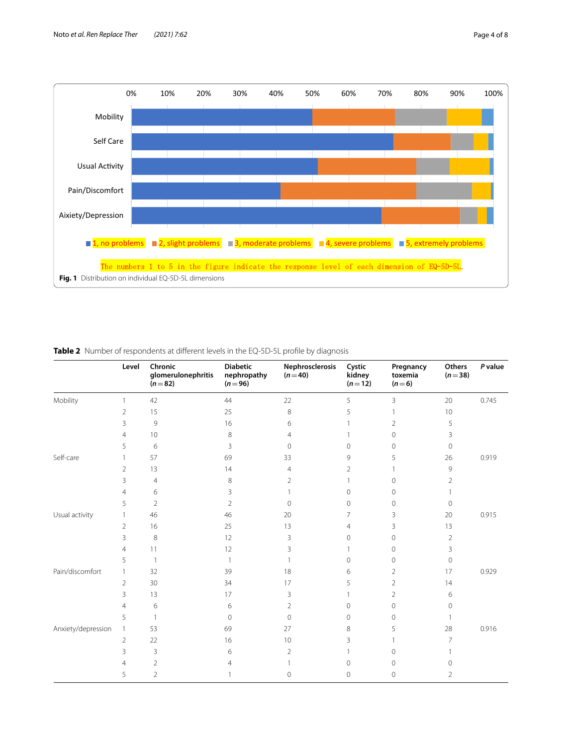

# <span id="page-3-1"></span><span id="page-3-0"></span>**Table 2** Number of respondents at different levels in the EQ-5D-5L profile by diagnosis

|                    | Level          | Chronic<br>glomerulonephritis<br>$(n=82)$ | <b>Diabetic</b><br>nephropathy<br>$(n=96)$ | Nephrosclerosis<br>$(n=40)$ | Cystic<br>kidney<br>$(n=12)$ | Pregnancy<br>toxemia<br>$(n=6)$ | Others<br>$(n=38)$ | P value |
|--------------------|----------------|-------------------------------------------|--------------------------------------------|-----------------------------|------------------------------|---------------------------------|--------------------|---------|
| Mobility           | 1              | 42                                        | 44                                         | 22                          | 5                            | 3                               | 20                 | 0.745   |
|                    | $\overline{2}$ | 15                                        | 25                                         | $\,8\,$                     | 5                            | 1                               | 10                 |         |
|                    | 3              | 9                                         | 16                                         | 6                           |                              | $\overline{2}$                  | 5                  |         |
|                    | $\overline{4}$ | 10                                        | 8                                          | 4                           |                              | 0                               | 3                  |         |
|                    | 5              | 6                                         | 3                                          | $\Omega$                    | $\Omega$                     | 0                               | $\mathbf 0$        |         |
| Self-care          | 1              | 57                                        | 69                                         | 33                          | 9                            | 5                               | 26                 | 0.919   |
|                    | $\overline{2}$ | 13                                        | 14                                         | 4                           | 2                            |                                 | 9                  |         |
|                    | 3              | $\overline{4}$                            | 8                                          | 2                           |                              | 0                               | 2                  |         |
|                    | $\overline{4}$ | 6                                         | 3                                          |                             | $\Omega$                     | 0                               |                    |         |
|                    | 5              | $\overline{2}$                            | $\overline{2}$                             | $\Omega$                    | $\Omega$                     | 0                               | $\overline{0}$     |         |
| Usual activity     | 1              | 46                                        | 46                                         | 20                          | 7                            | 3                               | 20                 | 0.915   |
|                    | $\overline{2}$ | 16                                        | 25                                         | 13                          | 4                            | 3                               | 13                 |         |
|                    | 3              | 8                                         | 12                                         | 3                           | $\Omega$                     | 0                               | 2                  |         |
|                    | 4              | 11                                        | 12                                         | 3                           |                              | $\mathbf 0$                     | 3                  |         |
|                    | 5              | $\mathbf{1}$                              | -1                                         |                             | $\Omega$                     | 0                               | $\overline{0}$     |         |
| Pain/discomfort    | 1              | 32                                        | 39                                         | 18                          | 6                            | $\overline{2}$                  | 17                 | 0.929   |
|                    | $\overline{2}$ | 30                                        | 34                                         | 17                          | 5                            | 2                               | 14                 |         |
|                    | 3              | 13                                        | 17                                         | 3                           |                              | $\overline{2}$                  | 6                  |         |
|                    | 4              | 6                                         | 6                                          | $\overline{2}$              | 0                            | $\mathbf 0$                     | $\circ$            |         |
|                    | 5              | $\mathbf{1}$                              | $\mathbf{0}$                               | $\Omega$                    | 0                            | 0                               |                    |         |
| Anxiety/depression | $\mathbf{1}$   | 53                                        | 69                                         | 27                          | 8                            | 5                               | 28                 | 0.916   |
|                    | $\overline{2}$ | 22                                        | 16                                         | 10                          | 3                            |                                 | $\overline{7}$     |         |
|                    | 3              | 3                                         | 6                                          | $\overline{2}$              |                              | 0                               |                    |         |
|                    | 4              | $\overline{2}$                            | 4                                          |                             | 0                            | 0                               | $\mathbf 0$        |         |
|                    | 5              | $\overline{2}$                            |                                            | 0                           | 0                            | 0                               | $\overline{2}$     |         |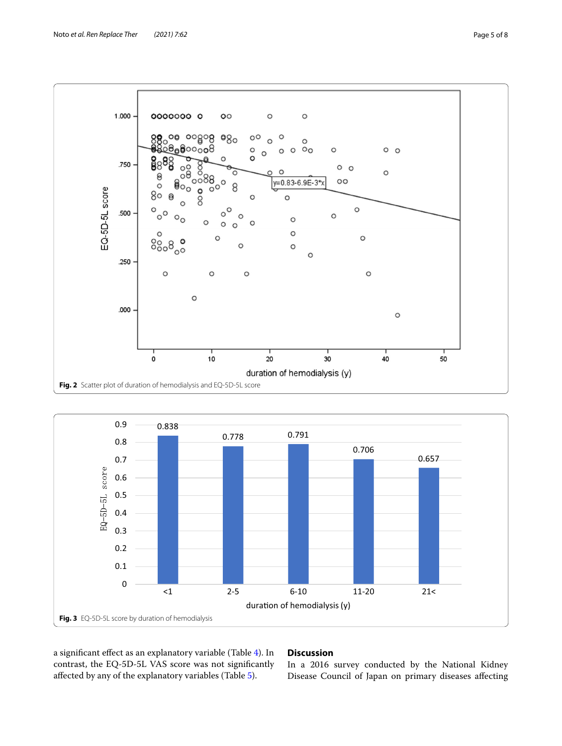



<span id="page-4-0"></span>

<span id="page-4-1"></span>a signifcant efect as an explanatory variable (Table [4\)](#page-5-1). In contrast, the EQ-5D-5L VAS score was not signifcantly afected by any of the explanatory variables (Table [5](#page-5-2)).

# **Discussion**

In a 2016 survey conducted by the National Kidney Disease Council of Japan on primary diseases afecting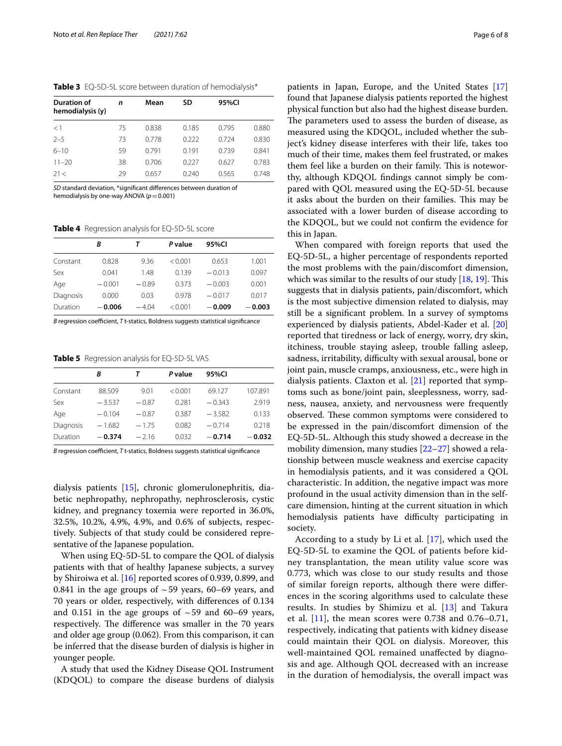<span id="page-5-0"></span>**Table 3** EQ-5D-5L score between duration of hemodialysis\*

| Duration of<br>hemodialysis (y) | n  | Mean  | SD    | 95%CI |       |
|---------------------------------|----|-------|-------|-------|-------|
| <1                              | 75 | 0.838 | 0.185 | 0.795 | 0.880 |
| $2 - 5$                         | 73 | 0.778 | 0.222 | 0.724 | 0.830 |
| $6 - 10$                        | 59 | 0.791 | 0.191 | 0.739 | 0.841 |
| $11 - 20$                       | 38 | 0.706 | 0.227 | 0.627 | 0.783 |
| 21<                             | 29 | 0.657 | 0.240 | 0.565 | 0.748 |

*SD* standard deviation, \*signifcant diferences between duration of hemodialysis by one-way ANOVA ( $p=0.001$ )

<span id="page-5-1"></span>**Table 4** Regression analysis for EQ-5D-5L score

|           | R        |         | P value | 95%CI    |          |
|-----------|----------|---------|---------|----------|----------|
| Constant  | 0.828    | 9.36    | < 0.001 | 0.653    | 1.001    |
| Sex       | 0.041    | 1.48    | 0.139   | $-0.013$ | 0.097    |
| Age       | $-0.001$ | $-0.89$ | 0.373   | $-0.003$ | 0.001    |
| Diagnosis | 0.000    | 0.03    | 0.978   | $-0.017$ | 0.017    |
| Duration  | $-0.006$ | $-4.04$ | < 0.001 | $-0.009$ | $-0.003$ |

*B* regression coefficient, *T* t-statics, Boldness suggests statistical significance

<span id="page-5-2"></span>**Table 5** Regression analysis for EQ-5D-5L VAS

|           | R        |         | P value | 95%CI    |          |
|-----------|----------|---------|---------|----------|----------|
| Constant  | 88.509   | 9.01    | < 0.001 | 69.127   | 107.891  |
| Sex       | $-3.537$ | $-0.87$ | 0.281   | $-0.343$ | 2.919    |
| Age       | $-0.104$ | $-0.87$ | 0.387   | $-3.582$ | 0.133    |
| Diagnosis | $-1.682$ | $-1.75$ | 0.082   | $-0.714$ | 0.218    |
| Duration  | $-0.374$ | $-216$  | 0.032   | $-0.714$ | $-0.032$ |

*B* regression coefficient, *T* t-statics, Boldness suggests statistical significance

dialysis patients [\[15\]](#page-7-10), chronic glomerulonephritis, diabetic nephropathy, nephropathy, nephrosclerosis, cystic kidney, and pregnancy toxemia were reported in 36.0%, 32.5%, 10.2%, 4.9%, 4.9%, and 0.6% of subjects, respectively. Subjects of that study could be considered representative of the Japanese population.

When using EQ-5D-5L to compare the QOL of dialysis patients with that of healthy Japanese subjects, a survey by Shiroiwa et al. [\[16](#page-7-11)] reported scores of 0.939, 0.899, and 0.841 in the age groups of  $\sim$  59 years, 60–69 years, and 70 years or older, respectively, with diferences of 0.134 and 0.151 in the age groups of  $\sim$  59 and 60–69 years, respectively. The difference was smaller in the 70 years and older age group (0.062). From this comparison, it can be inferred that the disease burden of dialysis is higher in younger people.

A study that used the Kidney Disease QOL Instrument (KDQOL) to compare the disease burdens of dialysis patients in Japan, Europe, and the United States [[17](#page-7-12)] found that Japanese dialysis patients reported the highest physical function but also had the highest disease burden. The parameters used to assess the burden of disease, as measured using the KDQOL, included whether the subject's kidney disease interferes with their life, takes too much of their time, makes them feel frustrated, or makes them feel like a burden on their family. This is noteworthy, although KDQOL fndings cannot simply be compared with QOL measured using the EQ-5D-5L because it asks about the burden on their families. This may be associated with a lower burden of disease according to the KDQOL, but we could not confrm the evidence for this in Japan.

When compared with foreign reports that used the EQ-5D-5L, a higher percentage of respondents reported the most problems with the pain/discomfort dimension, which was similar to the results of our study  $[18, 19]$  $[18, 19]$  $[18, 19]$  $[18, 19]$ . This suggests that in dialysis patients, pain/discomfort, which is the most subjective dimension related to dialysis, may still be a signifcant problem. In a survey of symptoms experienced by dialysis patients, Abdel-Kader et al. [[20](#page-7-15)] reported that tiredness or lack of energy, worry, dry skin, itchiness, trouble staying asleep, trouble falling asleep, sadness, irritability, difficulty with sexual arousal, bone or joint pain, muscle cramps, anxiousness, etc., were high in dialysis patients. Claxton et al. [\[21](#page-7-16)] reported that symptoms such as bone/joint pain, sleeplessness, worry, sadness, nausea, anxiety, and nervousness were frequently observed. These common symptoms were considered to be expressed in the pain/discomfort dimension of the EQ-5D-5L. Although this study showed a decrease in the mobility dimension, many studies [\[22–](#page-7-17)[27\]](#page-7-18) showed a relationship between muscle weakness and exercise capacity in hemodialysis patients, and it was considered a QOL characteristic. In addition, the negative impact was more profound in the usual activity dimension than in the selfcare dimension, hinting at the current situation in which hemodialysis patients have difficulty participating in society.

According to a study by Li et al. [[17\]](#page-7-12), which used the EQ-5D-5L to examine the QOL of patients before kidney transplantation, the mean utility value score was 0.773, which was close to our study results and those of similar foreign reports, although there were diferences in the scoring algorithms used to calculate these results. In studies by Shimizu et al. [\[13](#page-7-8)] and Takura et al.  $[11]$  $[11]$ , the mean scores were 0.738 and 0.76–0.71, respectively, indicating that patients with kidney disease could maintain their QOL on dialysis. Moreover, this well-maintained QOL remained unafected by diagnosis and age. Although QOL decreased with an increase in the duration of hemodialysis, the overall impact was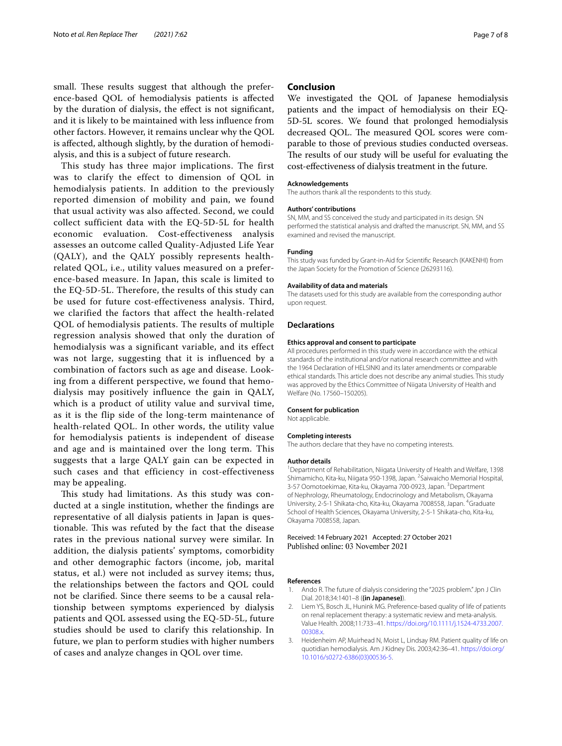small. These results suggest that although the preference-based QOL of hemodialysis patients is afected by the duration of dialysis, the efect is not signifcant, and it is likely to be maintained with less infuence from other factors. However, it remains unclear why the QOL is afected, although slightly, by the duration of hemodialysis, and this is a subject of future research.

This study has three major implications. The first was to clarify the effect to dimension of QOL in hemodialysis patients. In addition to the previously reported dimension of mobility and pain, we found that usual activity was also affected. Second, we could collect sufficient data with the EQ-5D-5L for health economic evaluation. Cost-effectiveness analysis assesses an outcome called Quality-Adjusted Life Year (QALY), and the QALY possibly represents healthrelated QOL, i.e., utility values measured on a preference-based measure. In Japan, this scale is limited to the EQ-5D-5L. Therefore, the results of this study can be used for future cost-effectiveness analysis. Third, we clarified the factors that affect the health-related QOL of hemodialysis patients. The results of multiple regression analysis showed that only the duration of hemodialysis was a significant variable, and its effect was not large, suggesting that it is influenced by a combination of factors such as age and disease. Looking from a different perspective, we found that hemodialysis may positively influence the gain in QALY, which is a product of utility value and survival time, as it is the flip side of the long-term maintenance of health-related QOL. In other words, the utility value for hemodialysis patients is independent of disease and age and is maintained over the long term. This suggests that a large QALY gain can be expected in such cases and that efficiency in cost-effectiveness may be appealing.

This study had limitations. As this study was conducted at a single institution, whether the fndings are representative of all dialysis patients in Japan is questionable. This was refuted by the fact that the disease rates in the previous national survey were similar. In addition, the dialysis patients' symptoms, comorbidity and other demographic factors (income, job, marital status, et al.) were not included as survey items; thus, the relationships between the factors and QOL could not be clarifed. Since there seems to be a causal relationship between symptoms experienced by dialysis patients and QOL assessed using the EQ-5D-5L, future studies should be used to clarify this relationship. In future, we plan to perform studies with higher numbers of cases and analyze changes in QOL over time.

### **Conclusion**

We investigated the QOL of Japanese hemodialysis patients and the impact of hemodialysis on their EQ-5D-5L scores. We found that prolonged hemodialysis decreased QOL. The measured QOL scores were comparable to those of previous studies conducted overseas. The results of our study will be useful for evaluating the cost-efectiveness of dialysis treatment in the future.

#### **Acknowledgements**

The authors thank all the respondents to this study.

#### **Authors' contributions**

SN, MM, and SS conceived the study and participated in its design. SN performed the statistical analysis and drafted the manuscript. SN, MM, and SS examined and revised the manuscript.

#### **Funding**

This study was funded by Grant-in-Aid for Scientifc Research (KAKENHI) from the Japan Society for the Promotion of Science (26293116).

#### **Availability of data and materials**

The datasets used for this study are available from the corresponding author upon request.

#### **Declarations**

#### **Ethics approval and consent to participate**

All procedures performed in this study were in accordance with the ethical standards of the institutional and/or national research committee and with the 1964 Declaration of HELSINKI and its later amendments or comparable ethical standards. This article does not describe any animal studies. This study was approved by the Ethics Committee of Niigata University of Health and Welfare (No. 17560–150205).

#### **Consent for publication**

Not applicable.

#### **Completing interests**

The authors declare that they have no competing interests.

#### **Author details**

<sup>1</sup> Department of Rehabilitation, Niigata University of Health and Welfare, 1398 Shimamicho, Kita-ku, Niigata 950-1398, Japan. <sup>2</sup> Saiwaicho Memorial Hospital, 3-57 Oomotoekimae, Kita-ku, Okayama 700-0923, Japan. <sup>3</sup> Department of Nephrology, Rheumatology, Endocrinology and Metabolism, Okayama University, 2-5-1 Shikata-cho, Kita-ku, Okayama 7008558, Japan. <sup>4</sup>Graduate School of Health Sciences, Okayama University, 2-5-1 Shikata-cho, Kita-ku, Okayama 7008558, Japan.

#### Received: 14 February 2021 Accepted: 27 October 2021 Published online: 03 November 2021

#### **References**

- <span id="page-6-0"></span>1. Ando R. The future of dialysis considering the "2025 problem." Jpn J Clin Dial. 2018;34:1401–8 (**(in Japanese)**).
- <span id="page-6-1"></span>2. Liem YS, Bosch JL, Hunink MG. Preference-based quality of life of patients on renal replacement therapy: a systematic review and meta-analysis. Value Health. 2008;11:733–41. [https://doi.org/10.1111/j.1524-4733.2007.](https://doi.org/10.1111/j.1524-4733.2007.00308.x) [00308.x.](https://doi.org/10.1111/j.1524-4733.2007.00308.x)
- <span id="page-6-2"></span>3. Heidenheim AP, Muirhead N, Moist L, Lindsay RM. Patient quality of life on quotidian hemodialysis. Am J Kidney Dis. 2003;42:36–41. [https://doi.org/](https://doi.org/10.1016/s0272-6386(03)00536-5) [10.1016/s0272-6386\(03\)00536-5](https://doi.org/10.1016/s0272-6386(03)00536-5).